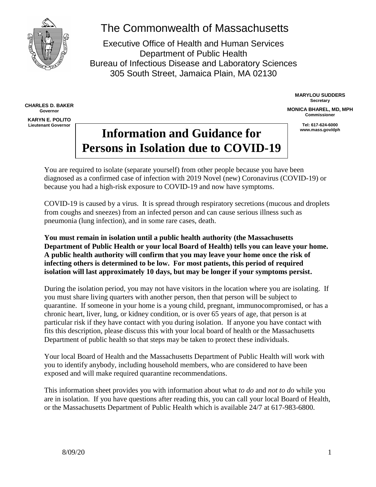

# The Commonwealth of Massachusetts

Executive Office of Health and Human Services Department of Public Health Bureau of Infectious Disease and Laboratory Sciences 305 South Street, Jamaica Plain, MA 02130

**CHARLES D. BAKER Governor KARYN E. POLITO Lieutenant Governor**

**MARYLOU SUDDERS Secretary**

**MONICA BHAREL, MD, MPH Commissioner**

**Tel: 617-624-6000**

# Information and Guidance for **Information Persons in Isolation due to COVID-19**

You are required to isolate (separate yourself) from other people because you have been diagnosed as a confirmed case of infection with 2019 Novel (new) Coronavirus (COVID-19) or because you had a high-risk exposure to COVID-19 and now have symptoms.

COVID-19 is caused by a virus. It is spread through respiratory secretions (mucous and droplets from coughs and sneezes) from an infected person and can cause serious illness such as pneumonia (lung infection), and in some rare cases, death.

**You must remain in isolation until a public health authority (the Massachusetts Department of Public Health or your local Board of Health) tells you can leave your home. A public health authority will confirm that you may leave your home once the risk of infecting others is determined to be low. For most patients, this period of required isolation will last approximately 10 days, but may be longer if your symptoms persist.**

During the isolation period, you may not have visitors in the location where you are isolating. If you must share living quarters with another person, then that person will be subject to quarantine. If someone in your home is a young child, pregnant, immunocompromised, or has a chronic heart, liver, lung, or kidney condition, or is over 65 years of age, that person is at particular risk if they have contact with you during isolation. If anyone you have contact with fits this description, please discuss this with your local board of health or the Massachusetts Department of public health so that steps may be taken to protect these individuals.

Your local Board of Health and the Massachusetts Department of Public Health will work with you to identify anybody, including household members, who are considered to have been exposed and will make required quarantine recommendations.

This information sheet provides you with information about what *to do* and *not to do* while you are in isolation. If you have questions after reading this, you can call your local Board of Health, or the Massachusetts Department of Public Health which is available 24/7 at 617-983-6800.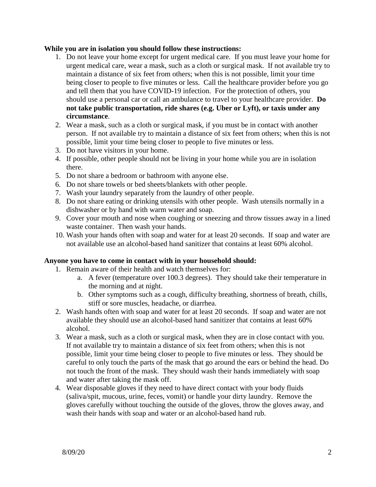#### **While you are in isolation you should follow these instructions:**

- 1. Do not leave your home except for urgent medical care. If you must leave your home for urgent medical care, wear a mask, such as a cloth or surgical mask. If not available try to maintain a distance of six feet from others; when this is not possible, limit your time being closer to people to five minutes or less. Call the healthcare provider before you go and tell them that you have COVID-19 infection. For the protection of others, you should use a personal car or call an ambulance to travel to your healthcare provider. **Do not take public transportation, ride shares (e.g. Uber or Lyft), or taxis under any circumstance**.
- 2. Wear a mask, such as a cloth or surgical mask, if you must be in contact with another person. If not available try to maintain a distance of six feet from others; when this is not possible, limit your time being closer to people to five minutes or less.
- 3. Do not have visitors in your home.
- 4. If possible, other people should not be living in your home while you are in isolation there.
- 5. Do not share a bedroom or bathroom with anyone else.
- 6. Do not share towels or bed sheets/blankets with other people.
- 7. Wash your laundry separately from the laundry of other people.
- 8. Do not share eating or drinking utensils with other people. Wash utensils normally in a dishwasher or by hand with warm water and soap.
- 9. Cover your mouth and nose when coughing or sneezing and throw tissues away in a lined waste container. Then wash your hands.
- 10. Wash your hands often with soap and water for at least 20 seconds. If soap and water are not available use an alcohol-based hand sanitizer that contains at least 60% alcohol.

#### **Anyone you have to come in contact with in your household should:**

- 1. Remain aware of their health and watch themselves for:
	- a. A fever (temperature over 100.3 degrees). They should take their temperature in the morning and at night.
	- b. Other symptoms such as a cough, difficulty breathing, shortness of breath, chills, stiff or sore muscles, headache, or diarrhea.
- 2. Wash hands often with soap and water for at least 20 seconds. If soap and water are not available they should use an alcohol-based hand sanitizer that contains at least 60% alcohol.
- 3. Wear a mask, such as a cloth or surgical mask, when they are in close contact with you. If not available try to maintain a distance of six feet from others; when this is not possible, limit your time being closer to people to five minutes or less. They should be careful to only touch the parts of the mask that go around the ears or behind the head. Do not touch the front of the mask. They should wash their hands immediately with soap and water after taking the mask off.
- 4. Wear disposable gloves if they need to have direct contact with your body fluids (saliva/spit, mucous, urine, feces, vomit) or handle your dirty laundry. Remove the gloves carefully without touching the outside of the gloves, throw the gloves away, and wash their hands with soap and water or an alcohol-based hand rub.